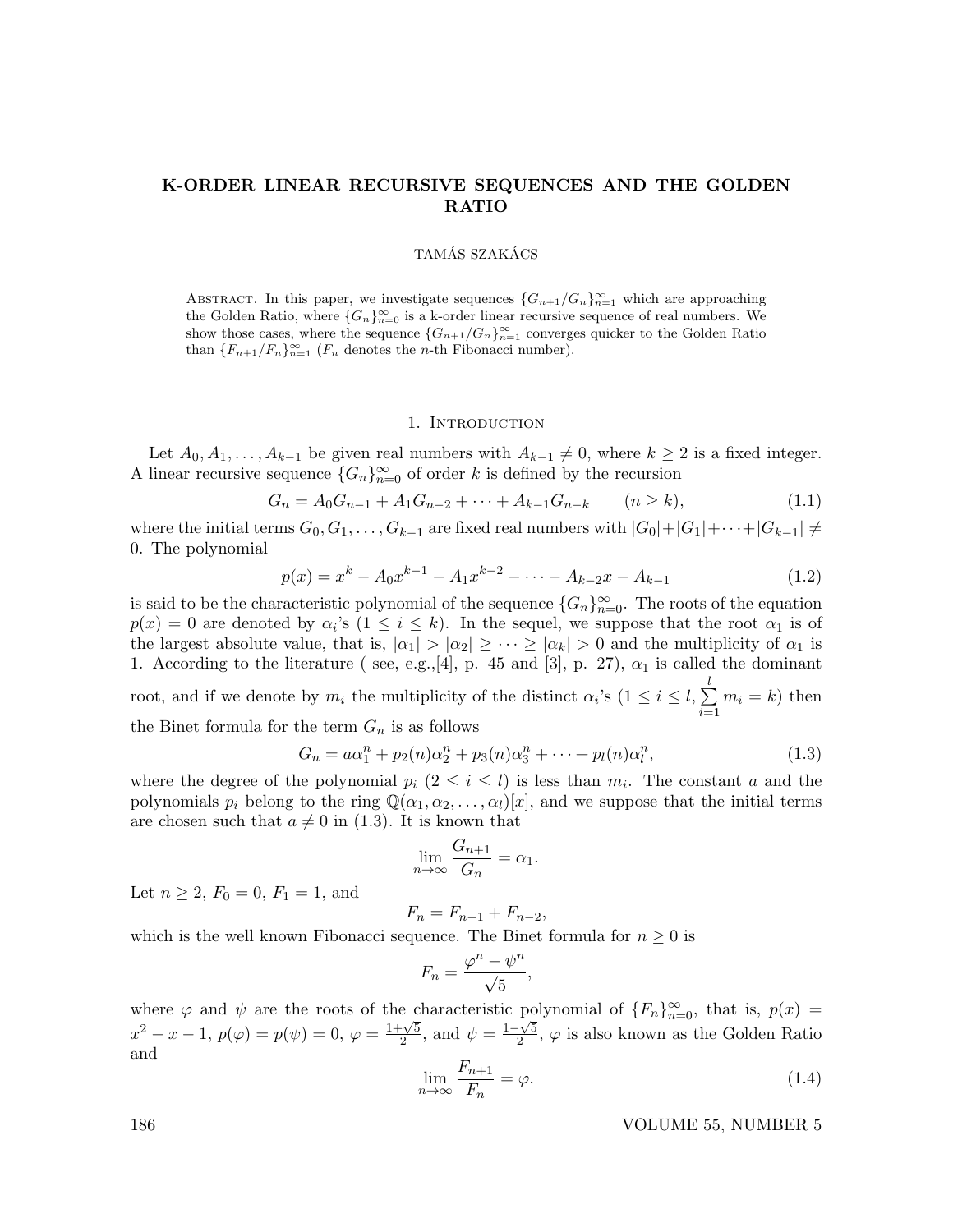## K-ORDER LINEAR RECURSIVE SEQUENCES AND THE GOLDEN RATIO

## TAMÁS SZAKÁCS

ABSTRACT. In this paper, we investigate sequences  $\{G_{n+1}/G_n\}_{n=1}^{\infty}$  which are approaching the Golden Ratio, where  $\{G_n\}_{n=0}^{\infty}$  is a k-order linear recursive sequence of real numbers. We show those cases, where the sequence  ${G_{n+1}/G_n}_{n=1}^{\infty}$  converges quicker to the Golden Ratio than  ${F_{n+1}/F_n}_{n=1}^{\infty}$  ( $F_n$  denotes the *n*-th Fibonacci number).

## 1. INTRODUCTION

Let  $A_0, A_1, \ldots, A_{k-1}$  be given real numbers with  $A_{k-1} \neq 0$ , where  $k \geq 2$  is a fixed integer. A linear recursive sequence  ${G_n}_{n=0}^{\infty}$  of order k is defined by the recursion

$$
G_n = A_0 G_{n-1} + A_1 G_{n-2} + \dots + A_{k-1} G_{n-k} \qquad (n \ge k), \tag{1.1}
$$

where the initial terms  $G_0, G_1, \ldots, G_{k-1}$  are fixed real numbers with  $|G_0|+|G_1|+\cdots+|G_{k-1}| \neq$ 0. The polynomial

$$
p(x) = x^{k} - A_0 x^{k-1} - A_1 x^{k-2} - \dots - A_{k-2} x - A_{k-1}
$$
\n(1.2)

is said to be the characteristic polynomial of the sequence  ${G_n}_{n=0}^{\infty}$ . The roots of the equation  $p(x) = 0$  are denoted by  $\alpha_i$ 's  $(1 \leq i \leq k)$ . In the sequel, we suppose that the root  $\alpha_1$  is of the largest absolute value, that is,  $|\alpha_1| > |\alpha_2| \geq \cdots \geq |\alpha_k| > 0$  and the multiplicity of  $\alpha_1$  is 1. According to the literature (see, e.g., [4], p. 45 and [3], p. 27),  $\alpha_1$  is called the dominant root, and if we denote by  $m_i$  the multiplicity of the distinct  $\alpha_i$ 's  $(1 \leq i \leq l, \sum^{l}$  $i=1$  $m_i = k$ ) then the Binet formula for the term  $G_n$  is as follows

$$
G_n = a\alpha_1^n + p_2(n)\alpha_2^n + p_3(n)\alpha_3^n + \dots + p_l(n)\alpha_l^n,
$$
\n(1.3)

where the degree of the polynomial  $p_i$   $(2 \leq i \leq l)$  is less than  $m_i$ . The constant a and the polynomials  $p_i$  belong to the ring  $\mathbb{Q}(\alpha_1, \alpha_2, \ldots, \alpha_l)[x]$ , and we suppose that the initial terms are chosen such that  $a \neq 0$  in (1.3). It is known that

$$
\lim_{n \to \infty} \frac{G_{n+1}}{G_n} = \alpha_1.
$$

Let  $n \ge 2$ ,  $F_0 = 0$ ,  $F_1 = 1$ , and

$$
F_n = F_{n-1} + F_{n-2},
$$

which is the well known Fibonacci sequence. The Binet formula for  $n \geq 0$  is

$$
F_n = \frac{\varphi^n - \psi^n}{\sqrt{5}},
$$

where  $\varphi$  and  $\psi$  are the roots of the characteristic polynomial of  $\{F_n\}_{n=0}^{\infty}$ , that is,  $p(x) =$ where  $\varphi$  and  $\psi$  are the roots of the c  $\frac{\sqrt{5}}{2}$ , and  $\psi = \frac{1-\sqrt{5}}{2}$  $\frac{1-\sqrt{5}}{2}$ ,  $\varphi$  is also known as the Golden Ratio and

$$
\lim_{n \to \infty} \frac{F_{n+1}}{F_n} = \varphi. \tag{1.4}
$$

186 VOLUME 55, NUMBER 5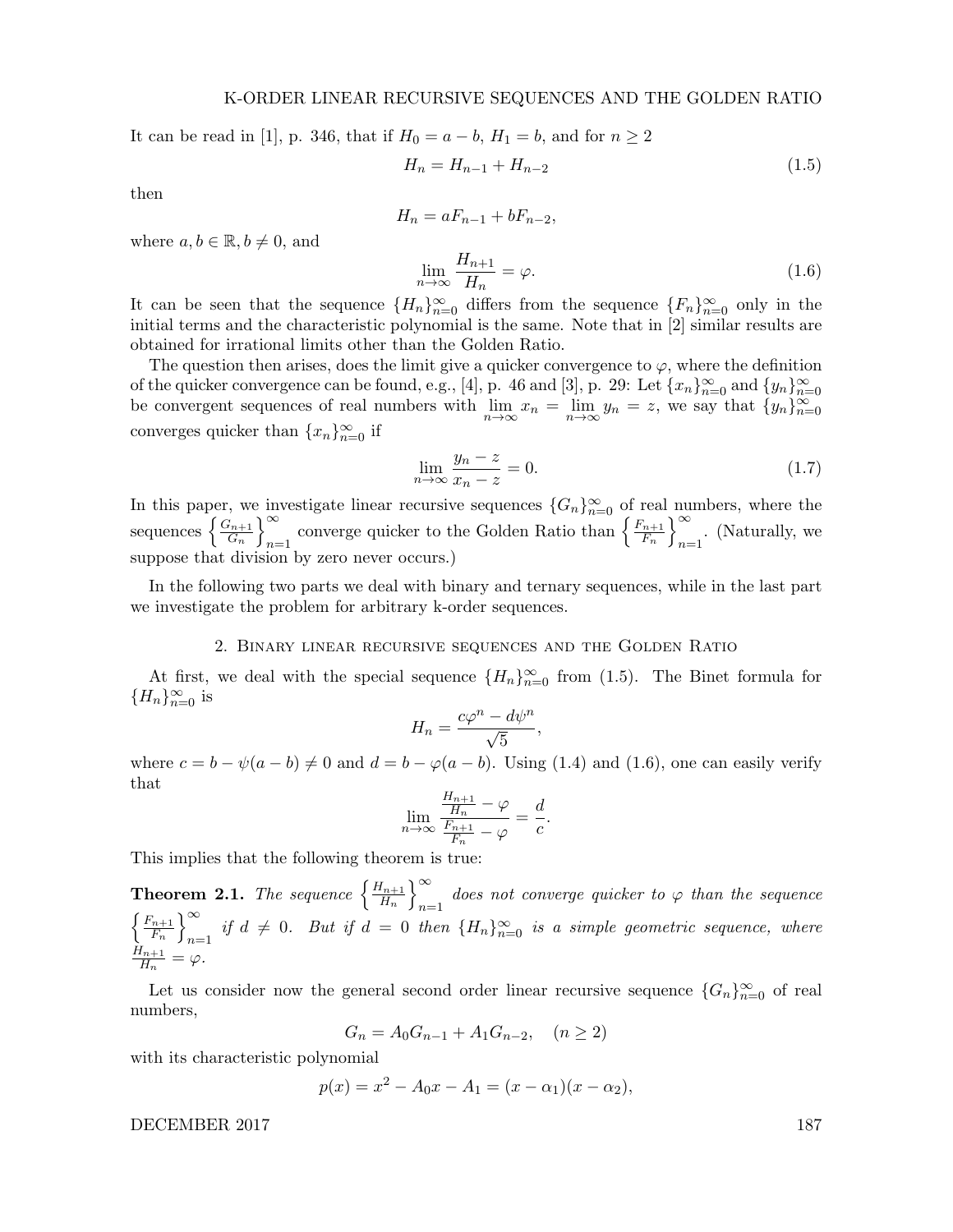It can be read in [1], p. 346, that if  $H_0 = a - b$ ,  $H_1 = b$ , and for  $n ≥ 2$ 

$$
H_n = H_{n-1} + H_{n-2} \tag{1.5}
$$

then

where  $a, b \in \mathbb{R}, b \neq 0$ , and

$$
H_n = aF_{n-1} + bF_{n-2},
$$
  
\n
$$
\lim_{n \to \infty} \frac{H_{n+1}}{H_n} = \varphi.
$$
\n(1.6)

It can be seen that the sequence  ${H_n}_{n=0}^{\infty}$  differs from the sequence  ${F_n}_{n=0}^{\infty}$  only in the initial terms and the characteristic polynomial is the same. Note that in [2] similar results are obtained for irrational limits other than the Golden Ratio.

The question then arises, does the limit give a quicker convergence to  $\varphi$ , where the definition of the quicker convergence can be found, e.g., [4], p. 46 and [3], p. 29: Let  $\{x_n\}_{n=0}^{\infty}$  and  $\{y_n\}_{n=0}^{\infty}$ <br>be convergent sequences of real numbers with  $\lim_{n\to\infty} x_n = \lim_{n\to\infty} y_n = z$ , we say that  $\{y_n\}_{n=0}^{\infty$ converges quicker than  ${x_n}_{n=0}^{\infty}$  if

$$
\lim_{n \to \infty} \frac{y_n - z}{x_n - z} = 0. \tag{1.7}
$$

In this paper, we investigate linear recursive sequences  ${G_n}_{n=0}^{\infty}$  of real numbers, where the sequences  $\left\{\frac{G_{n+1}}{G}\right\}$  $\left\{\frac{G_{n+1}}{G_n}\right\}_{n=1}^{\infty}$  $\sum_{n=1}^{\infty}$  converge quicker to the Golden Ratio than  $\left\{\frac{F_{n+1}}{F_n}\right\}$  $\left\{\frac{n+1}{F_n}\right\}_{n=1}^{\infty}$  $n=1$ . (Naturally, we suppose that division by zero never occurs.)

In the following two parts we deal with binary and ternary sequences, while in the last part we investigate the problem for arbitrary k-order sequences.

## 2. Binary linear recursive sequences and the Golden Ratio

At first, we deal with the special sequence  ${H_n}_{n=0}^{\infty}$  from (1.5). The Binet formula for  ${H_n}_{n=0}^\infty$  is

$$
H_n = \frac{c\varphi^n - d\psi^n}{\sqrt{5}},
$$

where  $c = b - \psi(a - b) \neq 0$  and  $d = b - \varphi(a - b)$ . Using (1.4) and (1.6), one can easily verify that

$$
\lim_{n \to \infty} \frac{\frac{H_{n+1}}{H_n} - \varphi}{\frac{F_{n+1}}{F_n} - \varphi} = \frac{d}{c}.
$$

This implies that the following theorem is true:

**Theorem 2.1.** The sequence  $\left\{\frac{H_{n+1}}{H_n}\right\}$  $\left\{\frac{H_{n+1}}{H_n}\right\}_{n=1}^{\infty}$ does not converge quicker to  $\varphi$  than the sequence  $\int F_{n+1}$  $\left\{\frac{n+1}{F_n}\right\}_{n=1}^{\infty}$  $\sum_{n=1}^{\infty}$  if  $d ≠ 0$ . But if  $d = 0$  then  ${H_n}_{n=0}^{\infty}$  is a simple geometric sequence, where  $H_{n+1}$  $\frac{d_{n+1}}{H_n} = \varphi.$ 

Let us consider now the general second order linear recursive sequence  ${G_n}_{n=0}^{\infty}$  of real numbers,

$$
G_n = A_0 G_{n-1} + A_1 G_{n-2}, \quad (n \ge 2)
$$

with its characteristic polynomial

$$
p(x) = x2 - A0x - A1 = (x - \alpha1)(x - \alpha2),
$$

DECEMBER 2017 187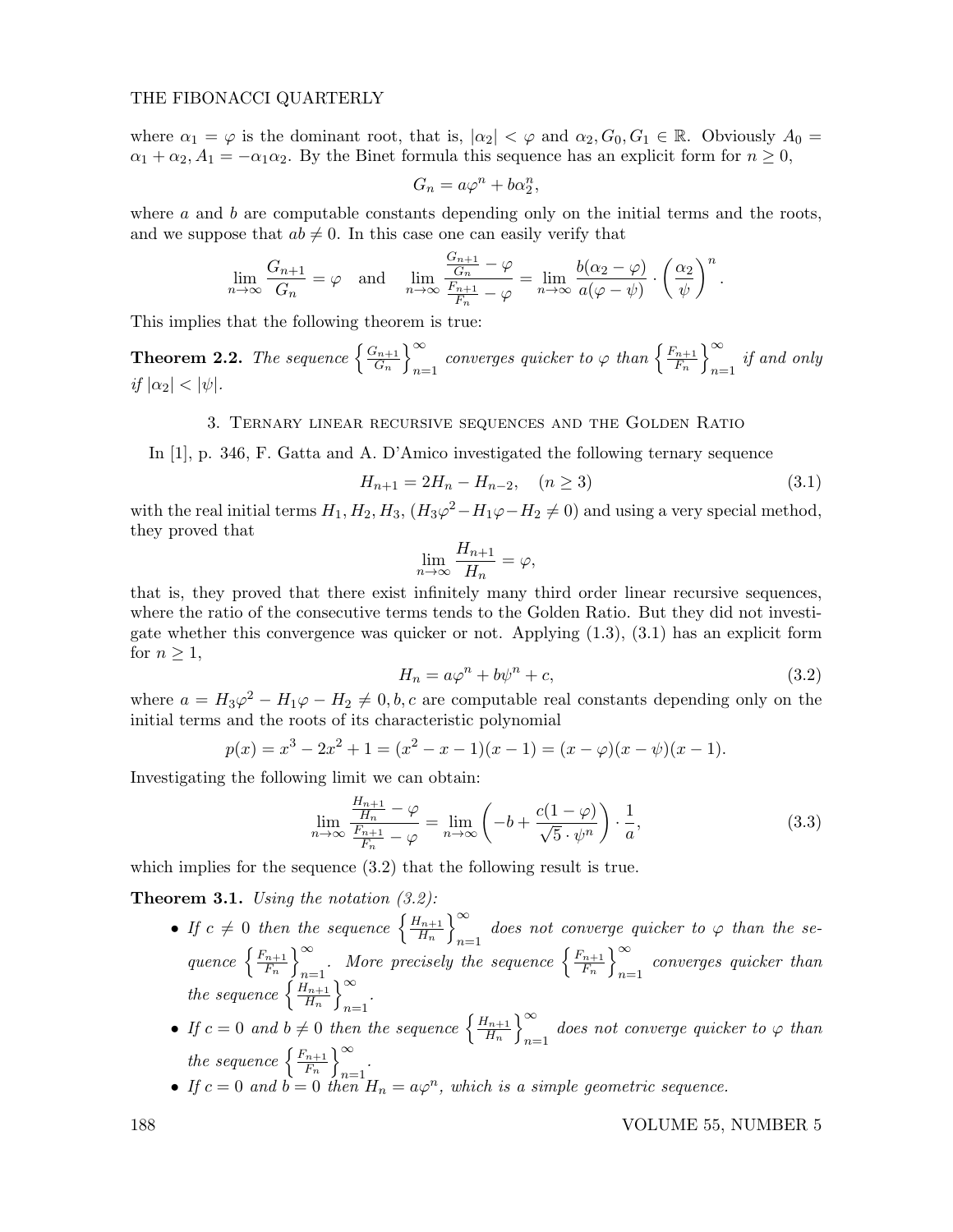## THE FIBONACCI QUARTERLY

where  $\alpha_1 = \varphi$  is the dominant root, that is,  $|\alpha_2| < \varphi$  and  $\alpha_2, G_0, G_1 \in \mathbb{R}$ . Obviously  $A_0 =$  $\alpha_1 + \alpha_2$ ,  $A_1 = -\alpha_1 \alpha_2$ . By the Binet formula this sequence has an explicit form for  $n \geq 0$ ,

$$
G_n = a\varphi^n + b\alpha_2^n,
$$

where  $a$  and  $b$  are computable constants depending only on the initial terms and the roots, and we suppose that  $ab \neq 0$ . In this case one can easily verify that

$$
\lim_{n \to \infty} \frac{G_{n+1}}{G_n} = \varphi \quad \text{and} \quad \lim_{n \to \infty} \frac{\frac{G_{n+1}}{G_n} - \varphi}{\frac{F_{n+1}}{F_n} - \varphi} = \lim_{n \to \infty} \frac{b(\alpha_2 - \varphi)}{a(\varphi - \psi)} \cdot \left(\frac{\alpha_2}{\psi}\right)^n.
$$

This implies that the following theorem is true:

**Theorem 2.2.** The sequence  $\begin{cases} \frac{G_{n+1}}{G} \end{cases}$  $\left\{\frac{G_{n+1}}{G_n}\right\}_{n=1}^{\infty}$  $\sum_{n=1}^{\infty}$  converges quicker to  $\varphi$  than  $\left\{\frac{F_{n+1}}{F_n}\right\}$  $\left\{\frac{n+1}{F_n}\right\}_{n=1}^{\infty}$  $n=1$  if and only if  $|\alpha_2| < |\psi|$ .

## 3. Ternary linear recursive sequences and the Golden Ratio

In [1], p. 346, F. Gatta and A. D'Amico investigated the following ternary sequence

$$
H_{n+1} = 2H_n - H_{n-2}, \quad (n \ge 3)
$$
\n<sup>(3.1)</sup>

with the real initial terms  $H_1, H_2, H_3, (H_3\varphi^2 - H_1\varphi - H_2 \neq 0)$  and using a very special method, they proved that

$$
\lim_{n \to \infty} \frac{H_{n+1}}{H_n} = \varphi,
$$

that is, they proved that there exist infinitely many third order linear recursive sequences, where the ratio of the consecutive terms tends to the Golden Ratio. But they did not investigate whether this convergence was quicker or not. Applying (1.3), (3.1) has an explicit form for  $n \geq 1$ ,

$$
H_n = a\varphi^n + b\psi^n + c,\tag{3.2}
$$

where  $a = H_3 \varphi^2 - H_1 \varphi - H_2 \neq 0, b, c$  are computable real constants depending only on the initial terms and the roots of its characteristic polynomial

$$
p(x) = x3 - 2x2 + 1 = (x2 - x - 1)(x - 1) = (x - \varphi)(x - \psi)(x - 1).
$$

Investigating the following limit we can obtain:

$$
\lim_{n \to \infty} \frac{\frac{H_{n+1}}{H_n} - \varphi}{\frac{F_{n+1}}{F_n} - \varphi} = \lim_{n \to \infty} \left( -b + \frac{c(1-\varphi)}{\sqrt{5} \cdot \psi^n} \right) \cdot \frac{1}{a},\tag{3.3}
$$

which implies for the sequence  $(3.2)$  that the following result is true.

**Theorem 3.1.** Using the notation  $(3.2)$ :

- If  $c \neq 0$  then the sequence  $\left\{\frac{H_{n+1}}{H}\right\}$  $\left\{\frac{H_{n+1}}{H_n}\right\}_{n=1}^{\infty}$ does not converge quicker to  $\varphi$  than the se-<br>n=1 quence  $\left\{\frac{F_{n+1}}{F}\right\}$  $\left\{\frac{n+1}{F_n}\right\}_{n=1}^{\infty}$  $\sum_{n=1}^{\infty}$ . More precisely the sequence  $\left\{\frac{F_{n+1}}{F_n}\right\}$  $\left\{\frac{n+1}{F_n}\right\}_{n=1}^{\infty}$  $n=1$  converges quicker than the sequence  $\frac{H_{n+1}}{H_n}$  $\left\{\frac{H_{n+1}}{H_n}\right\}_{n=1}^\infty$  $n=1$
- If  $c = 0$  and  $b \neq 0$  then the sequence  $\left\{ \frac{H_{n+1}}{H}\right\}$  $\left\{\frac{H_{n+1}}{H_n}\right\}_{n=1}^{\infty}$  does not converge quicker to  $\varphi$  than the sequence  $\left\{\frac{F_{n+1}}{F}\right\}^{\infty}$ .  $\left\{\frac{n+1}{F_n}\right\}_{n=1}^{\infty}$  $n=1$
- If  $c = 0$  and  $\vec{b} = 0$  then  $H_n = a\varphi^n$ , which is a simple geometric sequence.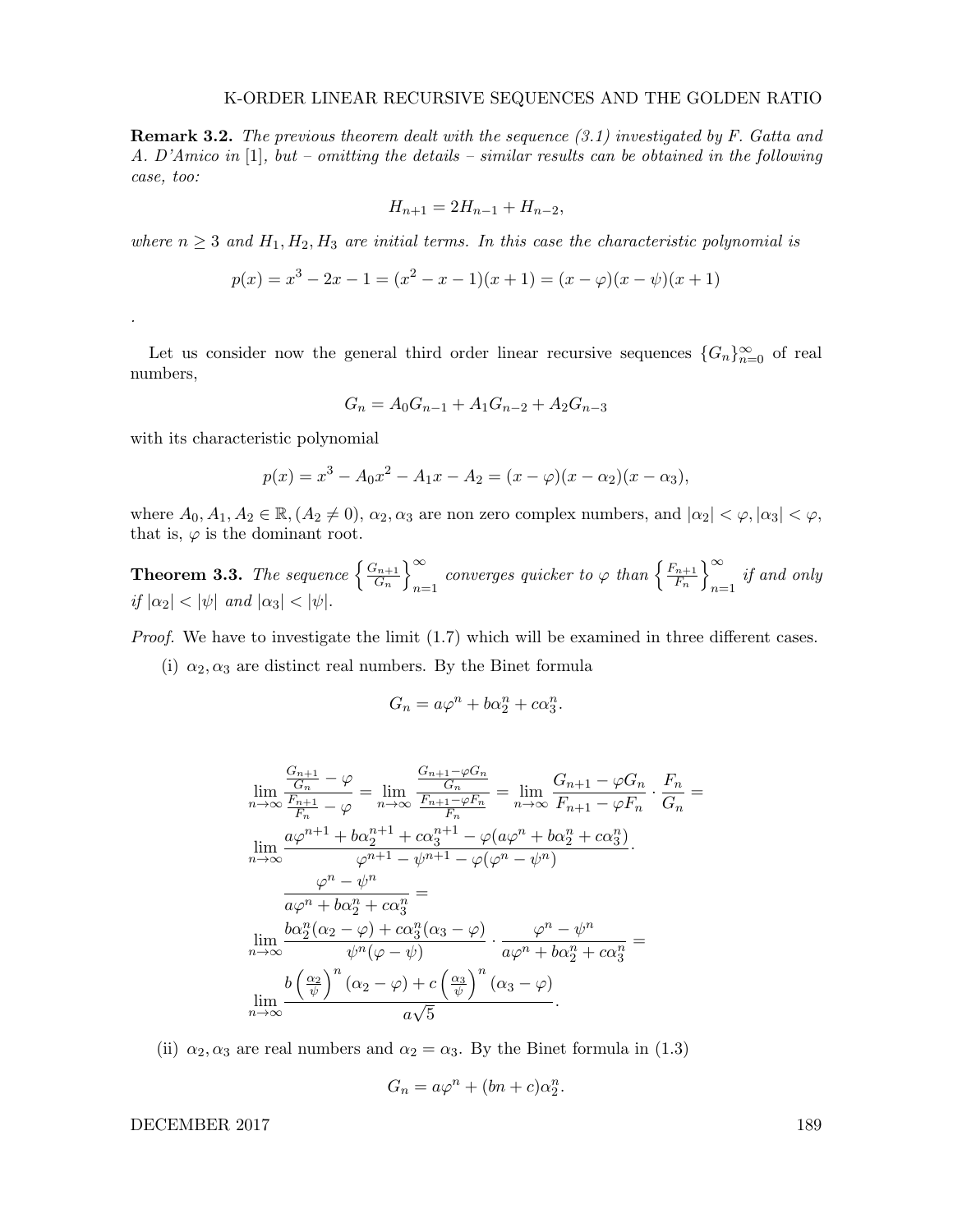**Remark 3.2.** The previous theorem dealt with the sequence (3.1) investigated by F. Gatta and A. D'Amico in [1], but – omitting the details – similar results can be obtained in the following case, too:

$$
H_{n+1} = 2H_{n-1} + H_{n-2},
$$

where  $n \geq 3$  and  $H_1, H_2, H_3$  are initial terms. In this case the characteristic polynomial is

$$
p(x) = x3 - 2x - 1 = (x2 - x - 1)(x + 1) = (x - \varphi)(x - \psi)(x + 1)
$$

Let us consider now the general third order linear recursive sequences  ${G_n}_{n=0}^{\infty}$  of real numbers,

$$
G_n = A_0 G_{n-1} + A_1 G_{n-2} + A_2 G_{n-3}
$$

with its characteristic polynomial

.

$$
p(x) = x3 - A0x2 - A1x - A2 = (x - \varphi)(x - \alpha_2)(x - \alpha_3),
$$

where  $A_0, A_1, A_2 \in \mathbb{R}, (A_2 \neq 0), \alpha_2, \alpha_3$  are non zero complex numbers, and  $|\alpha_2| < \varphi, |\alpha_3| < \varphi$ , that is,  $\varphi$  is the dominant root.

**Theorem 3.3.** The sequence  $\begin{cases} \frac{G_{n+1}}{G} \end{cases}$  $\left\{\frac{G_{n+1}}{G_n}\right\}_{n=1}^{\infty}$  $\sum_{n=1}^{\infty}$  converges quicker to  $\varphi$  than  $\left\{\frac{F_{n+1}}{F_n}\right\}$  $\left\{\frac{n+1}{F_n}\right\}_{n=1}^{\infty}$  $n=1$  if and only if  $|\alpha_2| < |\psi|$  and  $|\alpha_3| < |\psi|$ .

*Proof.* We have to investigate the limit  $(1.7)$  which will be examined in three different cases.

(i)  $\alpha_2, \alpha_3$  are distinct real numbers. By the Binet formula

$$
G_n = a\varphi^n + b\alpha_2^n + c\alpha_3^n.
$$

$$
\lim_{n \to \infty} \frac{\frac{G_{n+1}}{G_n} - \varphi}{\frac{F_{n+1}}{F_n} - \varphi} = \lim_{n \to \infty} \frac{\frac{G_{n+1} - \varphi G_n}{G_n}}{\frac{F_{n+1} - \varphi F_n}{F_n}} = \lim_{n \to \infty} \frac{G_{n+1} - \varphi G_n}{F_{n+1} - \varphi F_n} \cdot \frac{F_n}{G_n} =
$$
\n
$$
\lim_{n \to \infty} \frac{a\varphi^{n+1} + b\alpha_2^{n+1} + c\alpha_3^{n+1} - \varphi(a\varphi^n + b\alpha_2^n + c\alpha_3^n)}{\varphi^{n+1} - \varphi^{n+1} - \varphi(\varphi^n - \psi^n)}
$$
\n
$$
\frac{\varphi^n - \psi^n}{a\varphi^n + b\alpha_2^n + c\alpha_3^n} =
$$
\n
$$
\lim_{n \to \infty} \frac{b\alpha_2^n(\alpha_2 - \varphi) + c\alpha_3^n(\alpha_3 - \varphi)}{\psi^n(\varphi - \psi)} \cdot \frac{\varphi^n - \psi^n}{a\varphi^n + b\alpha_2^n + c\alpha_3^n} =
$$
\n
$$
\lim_{n \to \infty} \frac{b\left(\frac{\alpha_2}{\psi}\right)^n(\alpha_2 - \varphi) + c\left(\frac{\alpha_3}{\psi}\right)^n(\alpha_3 - \varphi)}{a\sqrt{5}}.
$$

(ii)  $\alpha_2, \alpha_3$  are real numbers and  $\alpha_2 = \alpha_3$ . By the Binet formula in (1.3)

$$
G_n = a\varphi^n + (bn + c)\alpha_2^n.
$$

DECEMBER 2017 189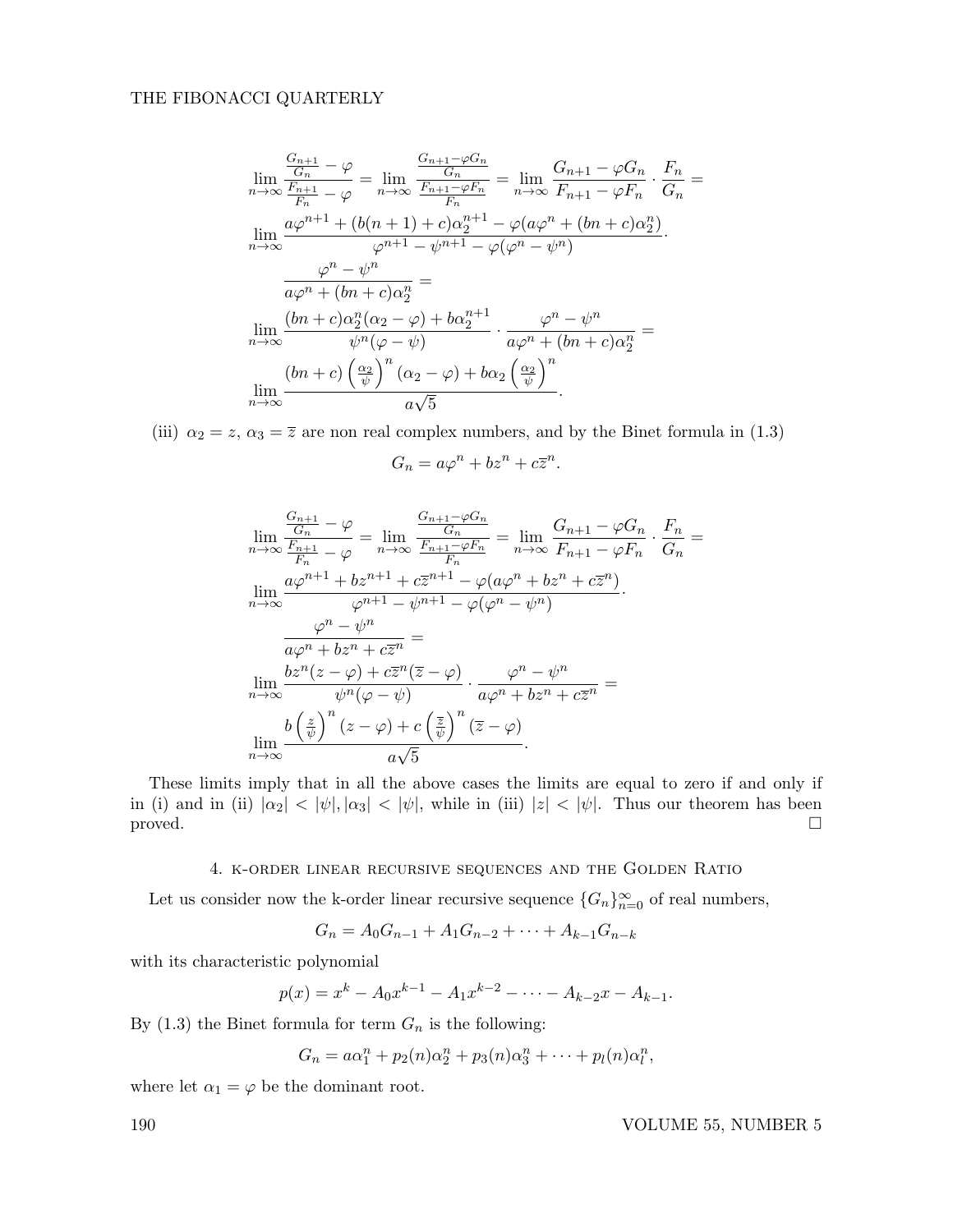## THE FIBONACCI QUARTERLY

$$
\lim_{n \to \infty} \frac{\frac{G_{n+1}}{G_n} - \varphi}{\frac{F_{n+1}}{F_n} - \varphi} = \lim_{n \to \infty} \frac{\frac{G_{n+1} - \varphi G_n}{G_n}}{\frac{F_{n+1} - \varphi F_n}{F_n}} = \lim_{n \to \infty} \frac{G_{n+1} - \varphi G_n}{F_{n+1} - \varphi F_n} \cdot \frac{F_n}{G_n} =
$$
\n
$$
\lim_{n \to \infty} \frac{a\varphi^{n+1} + (b(n+1) + c)\alpha_2^{n+1} - \varphi(a\varphi^n + (bn + c)\alpha_2^n)}{\varphi^{n+1} - \varphi^{n+1} - \varphi(\varphi^n - \psi^n)}.
$$
\n
$$
\frac{\varphi^n - \psi^n}{a\varphi^n + (bn + c)\alpha_2^n} =
$$
\n
$$
\lim_{n \to \infty} \frac{(bn + c)\alpha_2^n(\alpha_2 - \varphi) + b\alpha_2^{n+1}}{\psi^n(\varphi - \psi)} \cdot \frac{\varphi^n - \psi^n}{a\varphi^n + (bn + c)\alpha_2^n} =
$$
\n
$$
\lim_{n \to \infty} \frac{(bn + c)\left(\frac{\alpha_2}{\psi}\right)^n(\alpha_2 - \varphi) + b\alpha_2\left(\frac{\alpha_2}{\psi}\right)^n}{a\sqrt{5}}.
$$

(iii)  $\alpha_2 = z$ ,  $\alpha_3 = \overline{z}$  are non real complex numbers, and by the Binet formula in (1.3)

$$
G_n = a\varphi^n + bz^n + c\overline{z}^n.
$$

$$
\lim_{n \to \infty} \frac{\frac{G_{n+1}}{G_n} - \varphi}{\frac{F_{n+1}}{F_n} - \varphi} = \lim_{n \to \infty} \frac{\frac{G_{n+1} - \varphi G_n}{G_n}}{\frac{F_{n+1} - \varphi F_n}{F_n}} = \lim_{n \to \infty} \frac{G_{n+1} - \varphi G_n}{F_{n+1} - \varphi F_n} \cdot \frac{F_n}{G_n} =
$$
\n
$$
\lim_{n \to \infty} \frac{a\varphi^{n+1} + b z^{n+1} + c \overline{z}^{n+1} - \varphi(a\varphi^n + b z^n + c \overline{z}^n)}{\varphi^{n+1} - \psi^{n+1} - \varphi(\varphi^n - \psi^n)}.
$$
\n
$$
\frac{\varphi^n - \psi^n}{a\varphi^n + b z^n + c \overline{z}^n} =
$$
\n
$$
\lim_{n \to \infty} \frac{bz^n(z - \varphi) + c \overline{z}^n(\overline{z} - \varphi)}{\psi^n(\varphi - \psi)} \cdot \frac{\varphi^n - \psi^n}{a\varphi^n + b z^n + c \overline{z}^n} =
$$
\n
$$
\lim_{n \to \infty} \frac{b\left(\frac{z}{\psi}\right)^n(z - \varphi) + c\left(\frac{\overline{z}}{\psi}\right)^n(\overline{z} - \varphi)}{a\sqrt{5}}.
$$

These limits imply that in all the above cases the limits are equal to zero if and only if in (i) and in (ii)  $|\alpha_2| < |\psi|, |\alpha_3| < |\psi|$ , while in (iii)  $|z| < |\psi|$ . Thus our theorem has been proved.

# 4. k-order linear recursive sequences and the Golden Ratio

Let us consider now the k-order linear recursive sequence  ${G_n}_{n=0}^{\infty}$  of real numbers,

$$
G_n = A_0 G_{n-1} + A_1 G_{n-2} + \dots + A_{k-1} G_{n-k}
$$

with its characteristic polynomial

$$
p(x) = x^{k} - A_0 x^{k-1} - A_1 x^{k-2} - \dots - A_{k-2} x - A_{k-1}.
$$

By (1.3) the Binet formula for term  $G_n$  is the following:

$$
G_n = a\alpha_1^n + p_2(n)\alpha_2^n + p_3(n)\alpha_3^n + \cdots + p_l(n)\alpha_l^n,
$$

where let  $\alpha_1 = \varphi$  be the dominant root.

190 VOLUME 55, NUMBER 5